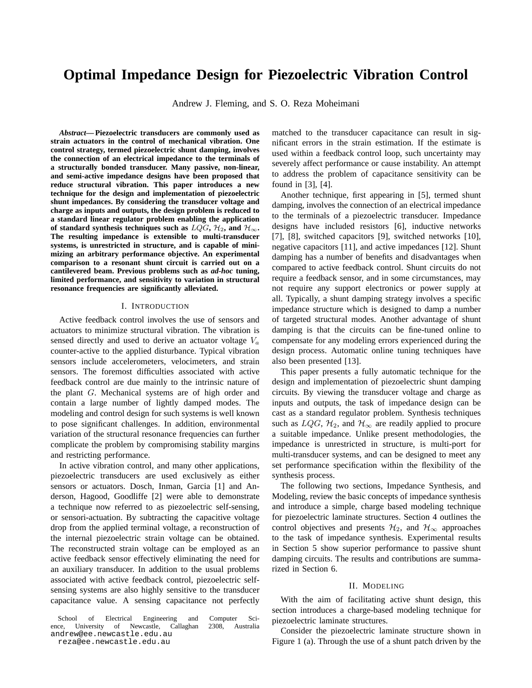# **Optimal Impedance Design for Piezoelectric Vibration Control**

Andrew J. Fleming, and S. O. Reza Moheimani

*Abstract***— Piezoelectric transducers are commonly used as strain actuators in the control of mechanical vibration. One control strategy, termed piezoelectric shunt damping, involves the connection of an electrical impedance to the terminals of a structurally bonded transducer. Many passive, non-linear, and semi-active impedance designs have been proposed that reduce structural vibration. This paper introduces a new technique for the design and implementation of piezoelectric shunt impedances. By considering the transducer voltage and charge as inputs and outputs, the design problem is reduced to a standard linear regulator problem enabling the application of standard synthesis techniques such as**  $LQG$ ,  $H_2$ , and  $H_{\infty}$ . **The resulting impedance is extensible to multi-transducer systems, is unrestricted in structure, and is capable of minimizing an arbitrary performance objective. An experimental comparison to a resonant shunt circuit is carried out on a cantilevered beam. Previous problems such as** *ad-hoc* **tuning, limited performance, and sensitivity to variation in structural resonance frequencies are significantly alleviated.**

#### I. INTRODUCTION

Active feedback control involves the use of sensors and actuators to minimize structural vibration. The vibration is sensed directly and used to derive an actuator voltage  $V_a$ counter-active to the applied disturbance. Typical vibration sensors include accelerometers, velocimeters, and strain sensors. The foremost difficulties associated with active feedback control are due mainly to the intrinsic nature of the plant G. Mechanical systems are of high order and contain a large number of lightly damped modes. The modeling and control design for such systems is well known to pose significant challenges. In addition, environmental variation of the structural resonance frequencies can further complicate the problem by compromising stability margins and restricting performance.

In active vibration control, and many other applications, piezoelectric transducers are used exclusively as either sensors or actuators. Dosch, Inman, Garcia [1] and Anderson, Hagood, Goodliffe [2] were able to demonstrate a technique now referred to as piezoelectric self-sensing, or sensori-actuation. By subtracting the capacitive voltage drop from the applied terminal voltage, a reconstruction of the internal piezoelectric strain voltage can be obtained. The reconstructed strain voltage can be employed as an active feedback sensor effectively eliminating the need for an auxiliary transducer. In addition to the usual problems associated with active feedback control, piezoelectric selfsensing systems are also highly sensitive to the transducer capacitance value. A sensing capacitance not perfectly

School of Electrical Engineering and Computer Science, University of Newcastle, Callaghan 2308, Australia andrew@ee.newcastle.edu.au

reza@ee.newcastle.edu.au

matched to the transducer capacitance can result in significant errors in the strain estimation. If the estimate is used within a feedback control loop, such uncertainty may severely affect performance or cause instability. An attempt to address the problem of capacitance sensitivity can be found in [3], [4].

Another technique, first appearing in [5], termed shunt damping, involves the connection of an electrical impedance to the terminals of a piezoelectric transducer. Impedance designs have included resistors [6], inductive networks [7], [8], switched capacitors [9], switched networks [10], negative capacitors [11], and active impedances [12]. Shunt damping has a number of benefits and disadvantages when compared to active feedback control. Shunt circuits do not require a feedback sensor, and in some circumstances, may not require any support electronics or power supply at all. Typically, a shunt damping strategy involves a specific impedance structure which is designed to damp a number of targeted structural modes. Another advantage of shunt damping is that the circuits can be fine-tuned online to compensate for any modeling errors experienced during the design process. Automatic online tuning techniques have also been presented [13].

This paper presents a fully automatic technique for the design and implementation of piezoelectric shunt damping circuits. By viewing the transducer voltage and charge as inputs and outputs, the task of impedance design can be cast as a standard regulator problem. Synthesis techniques such as  $LQG$ ,  $\mathcal{H}_2$ , and  $\mathcal{H}_{\infty}$  are readily applied to procure a suitable impedance. Unlike present methodologies, the impedance is unrestricted in structure, is multi-port for multi-transducer systems, and can be designed to meet any set performance specification within the flexibility of the synthesis process.

The following two sections, Impedance Synthesis, and Modeling, review the basic concepts of impedance synthesis and introduce a simple, charge based modeling technique for piezoelectric laminate structures. Section 4 outlines the control objectives and presents  $\mathcal{H}_2$ , and  $\mathcal{H}_{\infty}$  approaches to the task of impedance synthesis. Experimental results in Section 5 show superior performance to passive shunt damping circuits. The results and contributions are summarized in Section 6.

### II. MODELING

With the aim of facilitating active shunt design, this section introduces a charge-based modeling technique for piezoelectric laminate structures.

Consider the piezoelectric laminate structure shown in Figure 1 (a). Through the use of a shunt patch driven by the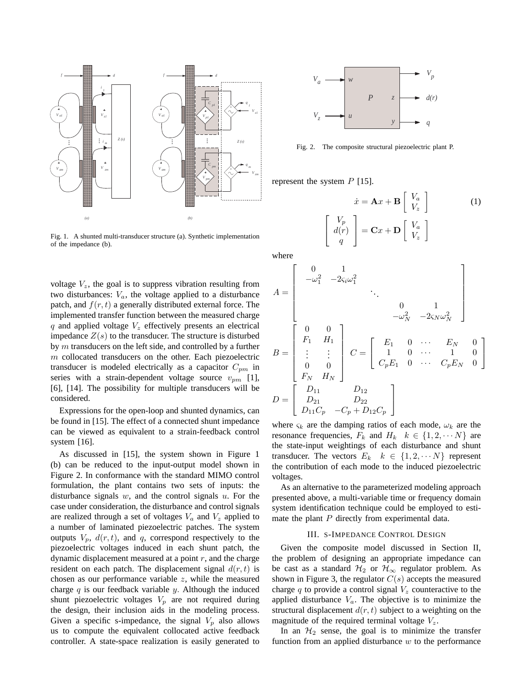

Fig. 1. A shunted multi-transducer structure (a). Synthetic implementation of the impedance (b).

voltage  $V_z$ , the goal is to suppress vibration resulting from two disturbances:  $V_a$ , the voltage applied to a disturbance patch, and  $f(r, t)$  a generally distributed external force. The implemented transfer function between the measured charge  $q$  and applied voltage  $V<sub>z</sub>$  effectively presents an electrical impedance  $Z(s)$  to the transducer. The structure is disturbed by  $m$  transducers on the left side, and controlled by a further  $m$  collocated transducers on the other. Each piezoelectric transducer is modeled electrically as a capacitor  $C_{pm}$  in series with a strain-dependent voltage source  $v_{pm}$  [1], [6], [14]. The possibility for multiple transducers will be considered.

Expressions for the open-loop and shunted dynamics, can be found in [15]. The effect of a connected shunt impedance can be viewed as equivalent to a strain-feedback control system [16].

As discussed in [15], the system shown in Figure 1 (b) can be reduced to the input-output model shown in Figure 2. In conformance with the standard MIMO control formulation, the plant contains two sets of inputs: the disturbance signals  $w$ , and the control signals  $u$ . For the case under consideration, the disturbance and control signals are realized through a set of voltages  $V_a$  and  $V_z$  applied to a number of laminated piezoelectric patches. The system outputs  $V_p$ ,  $d(r, t)$ , and q, correspond respectively to the piezoelectric voltages induced in each shunt patch, the dynamic displacement measured at a point  $r$ , and the charge resident on each patch. The displacement signal  $d(r, t)$  is chosen as our performance variable  $z$ , while the measured charge q is our feedback variable y. Although the induced shunt piezoelectric voltages  $V_p$  are not required during the design, their inclusion aids in the modeling process. Given a specific s-impedance, the signal  $V_p$  also allows us to compute the equivalent collocated active feedback controller. A state-space realization is easily generated to



Fig. 2. The composite structural piezoelectric plant P.

represent the system  $P$  [15].

 $\sqrt{ }$  $\overline{1}$ 

$$
\dot{x} = \mathbf{A}x + \mathbf{B} \begin{bmatrix} V_a \\ V_z \end{bmatrix}
$$
\n(1)  
\n
$$
\begin{bmatrix} V_p \\ d(r) \\ q \end{bmatrix} = \mathbf{C}x + \mathbf{D} \begin{bmatrix} V_a \\ V_z \end{bmatrix}
$$

where

$$
A = \begin{bmatrix} 0 & 1 & & & & \\ -\omega_1^2 & -2\varsigma_i\omega_1^2 & & & & \\ & & \ddots & & & & \\ & & & 0 & 1 & \\ & & & -\omega_N^2 & -2\varsigma_N\omega_N^2 \end{bmatrix}
$$

$$
B = \begin{bmatrix} 0 & 0 & & & \\ F_1 & H_1 & & & \\ \vdots & \vdots & & \vdots & \\ 0 & 0 & & & \\ F_N & H_N & & \end{bmatrix} \quad C = \begin{bmatrix} E_1 & 0 & \cdots & E_N & 0 \\ 1 & 0 & \cdots & 1 & 0 \\ C_p E_1 & 0 & \cdots & C_p E_N & 0 \end{bmatrix}
$$

$$
D = \begin{bmatrix} D_{11} & D_{12} & & \\ D_{21} & D_{22} & & \\ D_{11}C_p & -C_p + D_{12}C_p \end{bmatrix}
$$

where  $\varsigma_k$  are the damping ratios of each mode,  $\omega_k$  are the resonance frequencies,  $F_k$  and  $H_k$   $k \in \{1, 2, \dots N\}$  are the state-input weightings of each disturbance and shunt transducer. The vectors  $E_k$   $k \in \{1, 2, \dots N\}$  represent the contribution of each mode to the induced piezoelectric voltages.

As an alternative to the parameterized modeling approach presented above, a multi-variable time or frequency domain system identification technique could be employed to estimate the plant  $P$  directly from experimental data.

### III. S-IMPEDANCE CONTROL DESIGN

Given the composite model discussed in Section II, the problem of designing an appropriate impedance can be cast as a standard  $\mathcal{H}_2$  or  $\mathcal{H}_{\infty}$  regulator problem. As shown in Figure 3, the regulator  $C(s)$  accepts the measured charge q to provide a control signal  $V_z$  counteractive to the applied disturbance  $V_a$ . The objective is to minimize the structural displacement  $d(r, t)$  subject to a weighting on the magnitude of the required terminal voltage  $V_z$ .

In an  $H_2$  sense, the goal is to minimize the transfer function from an applied disturbance  $w$  to the performance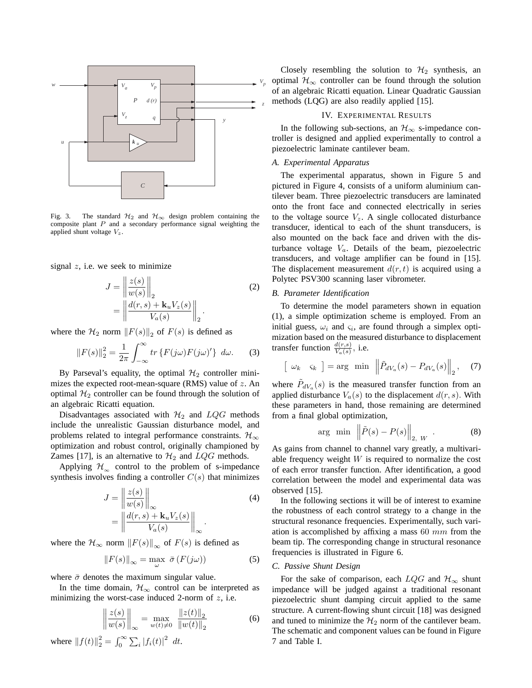

Fig. 3. The standard  $H_2$  and  $H_{\infty}$  design problem containing the composite plant  $P$  and a secondary performance signal weighting the applied shunt voltage  $V_z$ .

signal  $z$ , i.e. we seek to minimize

$$
J = \left\| \frac{z(s)}{w(s)} \right\|_2
$$
  
= 
$$
\left\| \frac{d(r,s) + \mathbf{k}_u V_z(s)}{V_a(s)} \right\|_2
$$
. (2)

where the  $\mathcal{H}_2$  norm  $||F(s)||_2$  of  $F(s)$  is defined as

$$
||F(s)||_2^2 = \frac{1}{2\pi} \int_{-\infty}^{\infty} tr\left\{ F(j\omega) F(j\omega)' \right\} d\omega.
$$
 (3)

By Parseval's equality, the optimal  $\mathcal{H}_2$  controller minimizes the expected root-mean-square (RMS) value of z. An optimal  $\mathcal{H}_2$  controller can be found through the solution of an algebraic Ricatti equation.

Disadvantages associated with  $H_2$  and  $LQG$  methods include the unrealistic Gaussian disturbance model, and problems related to integral performance constraints.  $\mathcal{H}_{\infty}$ optimization and robust control, originally championed by Zames [17], is an alternative to  $\mathcal{H}_2$  and  $LQG$  methods.

Applying  $\mathcal{H}_{\infty}$  control to the problem of s-impedance synthesis involves finding a controller  $C(s)$  that minimizes

$$
J = \left\| \frac{z(s)}{w(s)} \right\|_{\infty}
$$
  
= 
$$
\left\| \frac{d(r,s) + \mathbf{k}_u V_z(s)}{V_a(s)} \right\|_{\infty}.
$$
 (4)

where the  $\mathcal{H}_{\infty}$  norm  $||F(s)||_{\infty}$  of  $F(s)$  is defined as

$$
||F(s)||_{\infty} = \max_{\omega} \bar{\sigma}(F(j\omega))
$$
 (5)

where  $\bar{\sigma}$  denotes the maximum singular value.

In the time domain,  $H_{\infty}$  control can be interpreted as minimizing the worst-case induced 2-norm of  $z$ , i.e.

$$
\left\| \frac{z(s)}{w(s)} \right\|_{\infty} = \max_{w(t) \neq 0} \frac{\|z(t)\|_2}{\|w(t)\|_2}
$$
 (6)

where  $||f(t)||_2^2 = \int_0^\infty \sum_i |f_i(t)|^2 dt$ .

Closely resembling the solution to  $H_2$  synthesis, an optimal  $\mathcal{H}_{\infty}$  controller can be found through the solution of an algebraic Ricatti equation. Linear Quadratic Gaussian methods (LQG) are also readily applied [15].

## IV. EXPERIMENTAL RESULTS

In the following sub-sections, an  $\mathcal{H}_{\infty}$  s-impedance controller is designed and applied experimentally to control a piezoelectric laminate cantilever beam.

# *A. Experimental Apparatus*

The experimental apparatus, shown in Figure 5 and pictured in Figure 4, consists of a uniform aluminium cantilever beam. Three piezoelectric transducers are laminated onto the front face and connected electrically in series to the voltage source  $V_z$ . A single collocated disturbance transducer, identical to each of the shunt transducers, is also mounted on the back face and driven with the disturbance voltage  $V_a$ . Details of the beam, piezoelectric transducers, and voltage amplifier can be found in [15]. The displacement measurement  $d(r, t)$  is acquired using a Polytec PSV300 scanning laser vibrometer.

## *B. Parameter Identification*

To determine the model parameters shown in equation (1), a simple optimization scheme is employed. From an initial guess,  $\omega_i$  and  $\varsigma_i$ , are found through a simplex optimization based on the measured disturbance to displacement transfer function  $\frac{d(r,s)}{V_a(s)}$ , i.e.

$$
\left[\begin{array}{cc} \omega_k & \zeta_k \end{array}\right] = \arg \min \left\| \tilde{P}_{dV_a}(s) - P_{dV_a}(s) \right\|_2, \quad (7)
$$

where  $\tilde{P}_{dV_a}(s)$  is the measured transfer function from an applied disturbance  $V_a(s)$  to the displacement  $d(r, s)$ . With these parameters in hand, those remaining are determined from a final global optimization,

$$
\arg\ \min\ \left\|\tilde{P}(s) - P(s)\right\|_{2,\ W} \ . \tag{8}
$$

As gains from channel to channel vary greatly, a multivariable frequency weight  $W$  is required to normalize the cost of each error transfer function. After identification, a good correlation between the model and experimental data was observed [15].

In the following sections it will be of interest to examine the robustness of each control strategy to a change in the structural resonance frequencies. Experimentally, such variation is accomplished by affixing a mass 60  $mm$  from the beam tip. The corresponding change in structural resonance frequencies is illustrated in Figure 6.

## *C. Passive Shunt Design*

For the sake of comparison, each  $LQG$  and  $\mathcal{H}_{\infty}$  shunt impedance will be judged against a traditional resonant piezoelectric shunt damping circuit applied to the same structure. A current-flowing shunt circuit [18] was designed and tuned to minimize the  $H_2$  norm of the cantilever beam. The schematic and component values can be found in Figure 7 and Table I.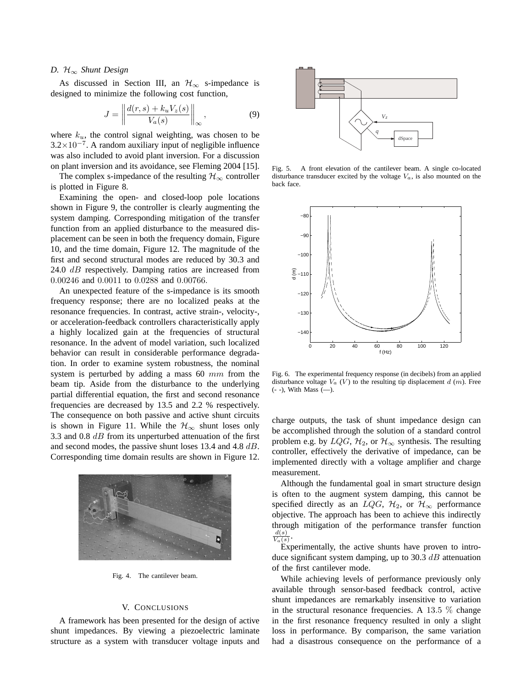## *D.* H<sup>∞</sup> *Shunt Design*

As discussed in Section III, an  $\mathcal{H}_{\infty}$  s-impedance is designed to minimize the following cost function,

$$
J = \left\| \frac{d(r,s) + k_u V_z(s)}{V_a(s)} \right\|_{\infty},\tag{9}
$$

where  $k_u$ , the control signal weighting, was chosen to be  $3.2 \times 10^{-7}$ . A random auxiliary input of negligible influence was also included to avoid plant inversion. For a discussion on plant inversion and its avoidance, see Fleming 2004 [15].

The complex s-impedance of the resulting  $\mathcal{H}_{\infty}$  controller is plotted in Figure 8.

Examining the open- and closed-loop pole locations shown in Figure 9, the controller is clearly augmenting the system damping. Corresponding mitigation of the transfer function from an applied disturbance to the measured displacement can be seen in both the frequency domain, Figure 10, and the time domain, Figure 12. The magnitude of the first and second structural modes are reduced by 30.3 and 24.0  $dB$  respectively. Damping ratios are increased from 0.00246 and 0.0011 to 0.0288 and 0.00766.

An unexpected feature of the s-impedance is its smooth frequency response; there are no localized peaks at the resonance frequencies. In contrast, active strain-, velocity-, or acceleration-feedback controllers characteristically apply a highly localized gain at the frequencies of structural resonance. In the advent of model variation, such localized behavior can result in considerable performance degradation. In order to examine system robustness, the nominal system is perturbed by adding a mass 60 mm from the beam tip. Aside from the disturbance to the underlying partial differential equation, the first and second resonance frequencies are decreased by 13.5 and 2.2 % respectively. The consequence on both passive and active shunt circuits is shown in Figure 11. While the  $H_{\infty}$  shunt loses only 3.3 and 0.8  $dB$  from its unperturbed attenuation of the first and second modes, the passive shunt loses 13.4 and 4.8 dB. Corresponding time domain results are shown in Figure 12.



Fig. 4. The cantilever beam.

### V. CONCLUSIONS

A framework has been presented for the design of active shunt impedances. By viewing a piezoelectric laminate structure as a system with transducer voltage inputs and



Fig. 5. A front elevation of the cantilever beam. A single co-located disturbance transducer excited by the voltage  $V_a$ , is also mounted on the back face.



Fig. 6. The experimental frequency response (in decibels) from an applied disturbance voltage  $V_a$  (V) to the resulting tip displacement  $d$  (m). Free (- -), With Mass (—).

charge outputs, the task of shunt impedance design can be accomplished through the solution of a standard control problem e.g. by  $LQG$ ,  $H_2$ , or  $H_{\infty}$  synthesis. The resulting controller, effectively the derivative of impedance, can be implemented directly with a voltage amplifier and charge measurement.

Although the fundamental goal in smart structure design is often to the augment system damping, this cannot be specified directly as an  $LQG$ ,  $H_2$ , or  $H_{\infty}$  performance objective. The approach has been to achieve this indirectly through mitigation of the performance transfer function  $d(s)$  $\frac{a(s)}{V_a(s)}$ .

Experimentally, the active shunts have proven to introduce significant system damping, up to 30.3  $dB$  attenuation of the first cantilever mode.

While achieving levels of performance previously only available through sensor-based feedback control, active shunt impedances are remarkably insensitive to variation in the structural resonance frequencies. A 13.5 % change in the first resonance frequency resulted in only a slight loss in performance. By comparison, the same variation had a disastrous consequence on the performance of a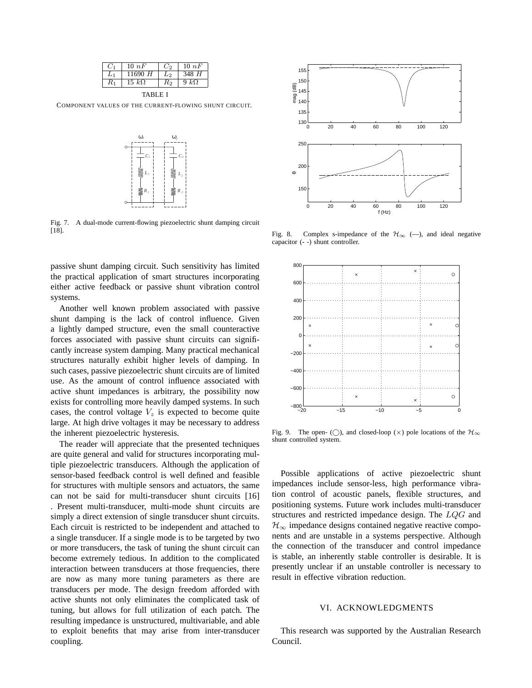| 10~nF   |    | 10~nF     |
|---------|----|-----------|
| 11690 H | ഛ  | 348 H     |
| 15 k.O  | Rэ | $k\Omega$ |

TABLE I

COMPONENT VALUES OF THE CURRENT-FLOWING SHUNT CIRCUIT.



Fig. 7. A dual-mode current-flowing piezoelectric shunt damping circuit [18].

passive shunt damping circuit. Such sensitivity has limited the practical application of smart structures incorporating either active feedback or passive shunt vibration control systems.

Another well known problem associated with passive shunt damping is the lack of control influence. Given a lightly damped structure, even the small counteractive forces associated with passive shunt circuits can significantly increase system damping. Many practical mechanical structures naturally exhibit higher levels of damping. In such cases, passive piezoelectric shunt circuits are of limited use. As the amount of control influence associated with active shunt impedances is arbitrary, the possibility now exists for controlling more heavily damped systems. In such cases, the control voltage  $V<sub>z</sub>$  is expected to become quite large. At high drive voltages it may be necessary to address the inherent piezoelectric hysteresis.

The reader will appreciate that the presented techniques are quite general and valid for structures incorporating multiple piezoelectric transducers. Although the application of sensor-based feedback control is well defined and feasible for structures with multiple sensors and actuators, the same can not be said for multi-transducer shunt circuits [16] . Present multi-transducer, multi-mode shunt circuits are simply a direct extension of single transducer shunt circuits. Each circuit is restricted to be independent and attached to a single transducer. If a single mode is to be targeted by two or more transducers, the task of tuning the shunt circuit can become extremely tedious. In addition to the complicated interaction between transducers at those frequencies, there are now as many more tuning parameters as there are transducers per mode. The design freedom afforded with active shunts not only eliminates the complicated task of tuning, but allows for full utilization of each patch. The resulting impedance is unstructured, multivariable, and able to exploit benefits that may arise from inter-transducer coupling.



Fig. 8. Complex s-impedance of the  $\mathcal{H}_{\infty}$  (-), and ideal negative capacitor (- -) shunt controller.



Fig. 9. The open- ( $\bigcirc$ ), and closed-loop ( $\times$ ) pole locations of the  $\mathcal{H}_{\infty}$ shunt controlled system.

Possible applications of active piezoelectric shunt impedances include sensor-less, high performance vibration control of acoustic panels, flexible structures, and positioning systems. Future work includes multi-transducer structures and restricted impedance design. The LQG and  $\mathcal{H}_{\infty}$  impedance designs contained negative reactive components and are unstable in a systems perspective. Although the connection of the transducer and control impedance is stable, an inherently stable controller is desirable. It is presently unclear if an unstable controller is necessary to result in effective vibration reduction.

## VI. ACKNOWLEDGMENTS

This research was supported by the Australian Research Council.